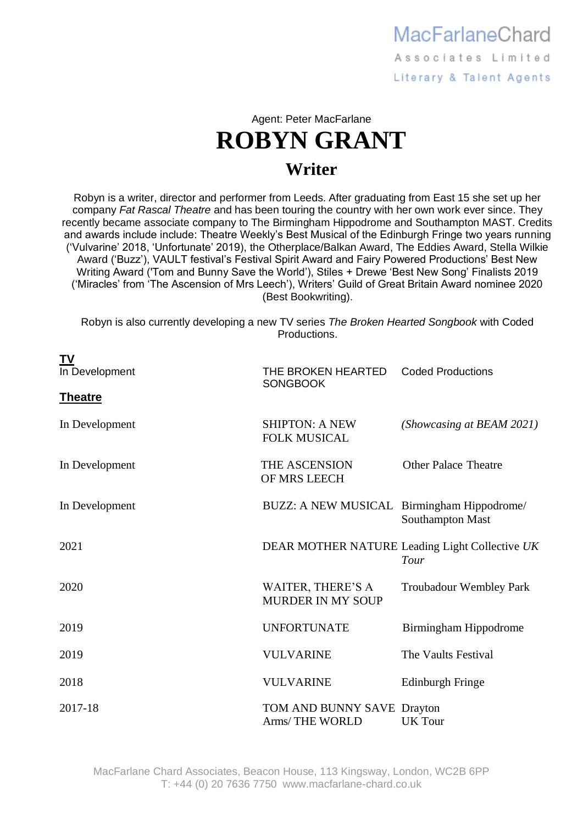MacFarlaneChard Associates Limited Literary & Talent Agents

Agent: Peter MacFarlane **ROBYN GRANT Writer**

Robyn is a writer, director and performer from Leeds. After graduating from East 15 she set up her company *Fat Rascal Theatre* and has been touring the country with her own work ever since. They recently became associate company to The Birmingham Hippodrome and Southampton MAST. Credits and awards include include: Theatre Weekly's Best Musical of the Edinburgh Fringe two years running ('Vulvarine' 2018, 'Unfortunate' 2019), the Otherplace/Balkan Award, The Eddies Award, Stella Wilkie Award ('Buzz'), VAULT festival's Festival Spirit Award and Fairy Powered Productions' Best New Writing Award ('Tom and Bunny Save the World'), Stiles + Drewe 'Best New Song' Finalists 2019 ('Miracles' from 'The Ascension of Mrs Leech'), Writers' Guild of Great Britain Award nominee 2020 (Best Bookwriting).

Robyn is also currently developing a new TV series *The Broken Hearted Songbook* with Coded Productions.

| ΤV             |                                                      |                                                        |
|----------------|------------------------------------------------------|--------------------------------------------------------|
| In Development | THE BROKEN HEARTED<br><b>SONGBOOK</b>                | <b>Coded Productions</b>                               |
| <b>Theatre</b> |                                                      |                                                        |
| In Development | <b>SHIPTON: A NEW</b><br><b>FOLK MUSICAL</b>         | (Showcasing at BEAM 2021)                              |
| In Development | THE ASCENSION<br>OF MRS LEECH                        | <b>Other Palace Theatre</b>                            |
| In Development | BUZZ: A NEW MUSICAL Birmingham Hippodrome/           | Southampton Mast                                       |
| 2021           |                                                      | DEAR MOTHER NATURE Leading Light Collective UK<br>Tour |
| 2020           | <b>WAITER, THERE'S A</b><br><b>MURDER IN MY SOUP</b> | <b>Troubadour Wembley Park</b>                         |
| 2019           | <b>UNFORTUNATE</b>                                   | Birmingham Hippodrome                                  |
| 2019           | <b>VULVARINE</b>                                     | The Vaults Festival                                    |
| 2018           | <b>VULVARINE</b>                                     | <b>Edinburgh Fringe</b>                                |
| 2017-18        | TOM AND BUNNY SAVE Drayton<br>Arms/THE WORLD         | <b>UK</b> Tour                                         |